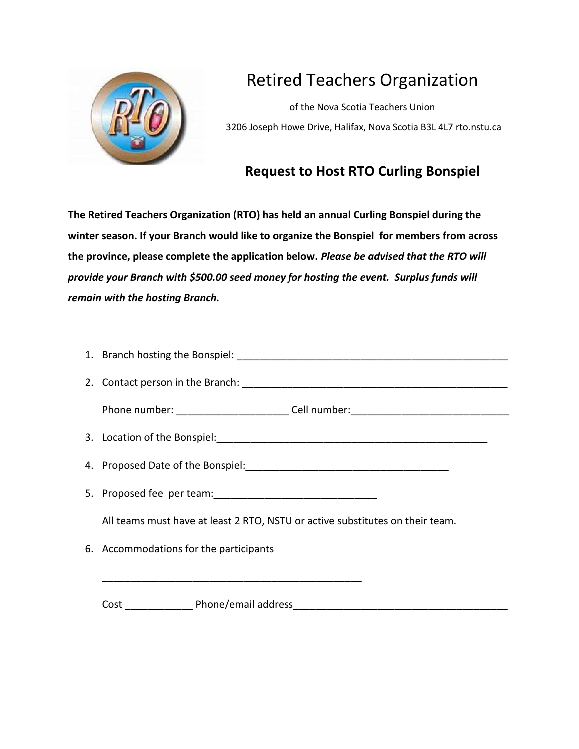

## Retired Teachers Organization

of the Nova Scotia Teachers Union 3206 Joseph Howe Drive, Halifax, Nova Scotia B3L 4L7 rto.nstu.ca

## **Request to Host RTO Curling Bonspiel**

**The Retired Teachers Organization (RTO) has held an annual Curling Bonspiel during the winter season. If your Branch would like to organize the Bonspiel for members from across the province, please complete the application below.** *Please be advised that the RTO will provide your Branch with \$500.00 seed money for hosting the event. Surplus funds will remain with the hosting Branch.*

| Phone number: ____________________________Cell number: __________________________ |
|-----------------------------------------------------------------------------------|
|                                                                                   |
|                                                                                   |
|                                                                                   |
| All teams must have at least 2 RTO, NSTU or active substitutes on their team.     |
| 6. Accommodations for the participants                                            |
|                                                                                   |
|                                                                                   |